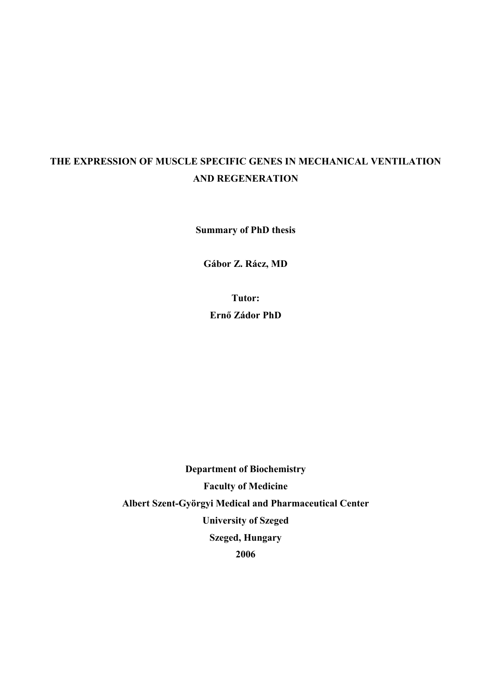# **THE EXPRESSION OF MUSCLE SPECIFIC GENES IN MECHANICAL VENTILATION AND REGENERATION**

**Summary of PhD thesis** 

**Gábor Z. Rácz, MD** 

**Tutor: Ernő Zádor PhD** 

**Department of Biochemistry Faculty of Medicine Albert Szent-Györgyi Medical and Pharmaceutical Center University of Szeged Szeged, Hungary 2006**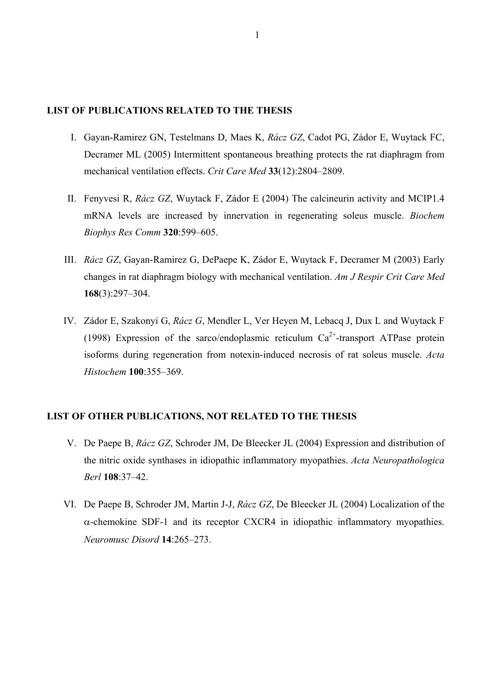#### **LIST OF PUBLICATIONS RELATED TO THE THESIS**

- I. Gayan-Ramirez GN, Testelmans D, Maes K, *Rácz GZ*, Cadot PG, Zádor E, Wuytack FC, Decramer ML (2005) Intermittent spontaneous breathing protects the rat diaphragm from mechanical ventilation effects. *Crit Care Med* **33**(12):2804–2809.
- II. Fenyvesi R, *Rácz GZ*, Wuytack F, Zádor E (2004) The calcineurin activity and MCIP1.4 mRNA levels are increased by innervation in regenerating soleus muscle. *Biochem Biophys Res Comm* **320**:599–605.
- III. *Rácz GZ*, Gayan-Ramirez G, DePaepe K, Zádor E, Wuytack F, Decramer M (2003) Early changes in rat diaphragm biology with mechanical ventilation. *Am J Respir Crit Care Med*  **168**(3):297–304.
- IV. Zádor E, Szakonyi G, *Rácz G*, Mendler L, Ver Heyen M, Lebacq J, Dux L and Wuytack F (1998) Expression of the sarco/endoplasmic reticulum  $Ca^{2+}$ -transport ATPase protein isoforms during regeneration from notexin-induced necrosis of rat soleus muscle. *Acta Histochem* **100**:355–369.

## **LIST OF OTHER PUBLICATIONS, NOT RELATED TO THE THESIS**

- V. De Paepe B, *Rácz GZ*, Schroder JM, De Bleecker JL (2004) Expression and distribution of the nitric oxide synthases in idiopathic inflammatory myopathies. *Acta Neuropathologica Berl* **108**:37–42.
- VI. De Paepe B, Schroder JM, Martin J-J, *Rácz GZ*, De Bleecker JL (2004) Localization of the α-chemokine SDF-1 and its receptor CXCR4 in idiopathic inflammatory myopathies. *Neuromusc Disord* **14**:265–273.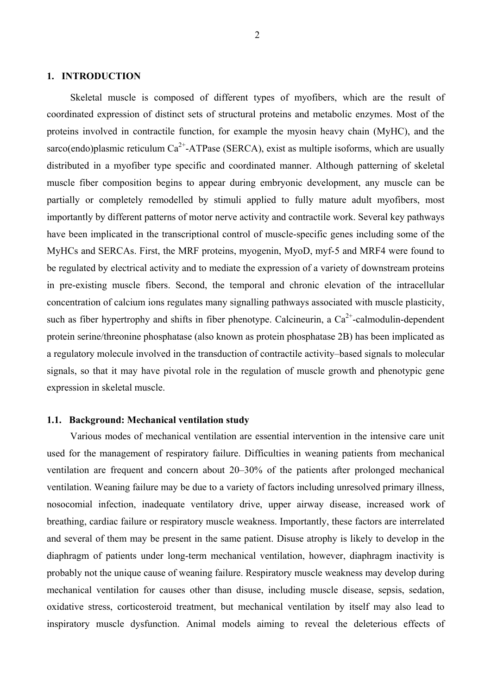#### **1. INTRODUCTION**

Skeletal muscle is composed of different types of myofibers, which are the result of coordinated expression of distinct sets of structural proteins and metabolic enzymes. Most of the proteins involved in contractile function, for example the myosin heavy chain (MyHC), and the sarco(endo)plasmic reticulum  $Ca^{2+}$ -ATPase (SERCA), exist as multiple isoforms, which are usually distributed in a myofiber type specific and coordinated manner. Although patterning of skeletal muscle fiber composition begins to appear during embryonic development, any muscle can be partially or completely remodelled by stimuli applied to fully mature adult myofibers, most importantly by different patterns of motor nerve activity and contractile work. Several key pathways have been implicated in the transcriptional control of muscle-specific genes including some of the MyHCs and SERCAs. First, the MRF proteins, myogenin, MyoD, myf-5 and MRF4 were found to be regulated by electrical activity and to mediate the expression of a variety of downstream proteins in pre-existing muscle fibers. Second, the temporal and chronic elevation of the intracellular concentration of calcium ions regulates many signalling pathways associated with muscle plasticity, such as fiber hypertrophy and shifts in fiber phenotype. Calcineurin, a  $Ca^{2+}$ -calmodulin-dependent protein serine/threonine phosphatase (also known as protein phosphatase 2B) has been implicated as a regulatory molecule involved in the transduction of contractile activity–based signals to molecular signals, so that it may have pivotal role in the regulation of muscle growth and phenotypic gene expression in skeletal muscle.

## **1.1. Background: Mechanical ventilation study**

Various modes of mechanical ventilation are essential intervention in the intensive care unit used for the management of respiratory failure. Difficulties in weaning patients from mechanical ventilation are frequent and concern about 20–30% of the patients after prolonged mechanical ventilation. Weaning failure may be due to a variety of factors including unresolved primary illness, nosocomial infection, inadequate ventilatory drive, upper airway disease, increased work of breathing, cardiac failure or respiratory muscle weakness. Importantly, these factors are interrelated and several of them may be present in the same patient. Disuse atrophy is likely to develop in the diaphragm of patients under long-term mechanical ventilation, however, diaphragm inactivity is probably not the unique cause of weaning failure. Respiratory muscle weakness may develop during mechanical ventilation for causes other than disuse, including muscle disease, sepsis, sedation, oxidative stress, corticosteroid treatment, but mechanical ventilation by itself may also lead to inspiratory muscle dysfunction. Animal models aiming to reveal the deleterious effects of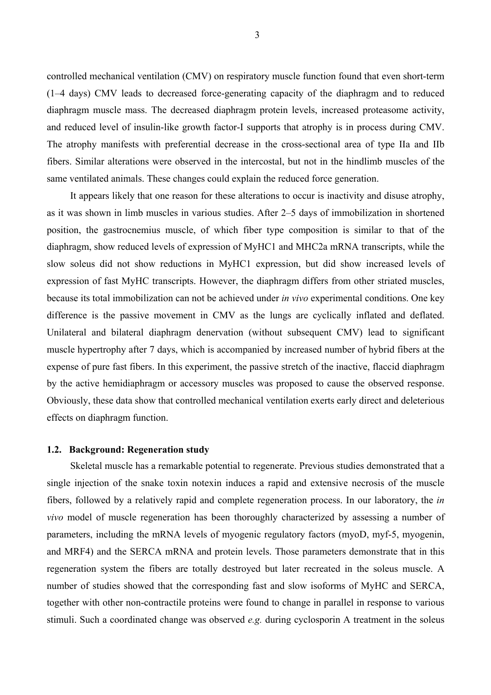controlled mechanical ventilation (CMV) on respiratory muscle function found that even short-term (1–4 days) CMV leads to decreased force-generating capacity of the diaphragm and to reduced diaphragm muscle mass. The decreased diaphragm protein levels, increased proteasome activity, and reduced level of insulin-like growth factor-I supports that atrophy is in process during CMV. The atrophy manifests with preferential decrease in the cross-sectional area of type IIa and IIb fibers. Similar alterations were observed in the intercostal, but not in the hindlimb muscles of the same ventilated animals. These changes could explain the reduced force generation.

It appears likely that one reason for these alterations to occur is inactivity and disuse atrophy, as it was shown in limb muscles in various studies. After 2–5 days of immobilization in shortened position, the gastrocnemius muscle, of which fiber type composition is similar to that of the diaphragm, show reduced levels of expression of MyHC1 and MHC2a mRNA transcripts, while the slow soleus did not show reductions in MyHC1 expression, but did show increased levels of expression of fast MyHC transcripts. However, the diaphragm differs from other striated muscles, because its total immobilization can not be achieved under *in vivo* experimental conditions. One key difference is the passive movement in CMV as the lungs are cyclically inflated and deflated. Unilateral and bilateral diaphragm denervation (without subsequent CMV) lead to significant muscle hypertrophy after 7 days, which is accompanied by increased number of hybrid fibers at the expense of pure fast fibers. In this experiment, the passive stretch of the inactive, flaccid diaphragm by the active hemidiaphragm or accessory muscles was proposed to cause the observed response. Obviously, these data show that controlled mechanical ventilation exerts early direct and deleterious effects on diaphragm function.

## **1.2. Background: Regeneration study**

Skeletal muscle has a remarkable potential to regenerate. Previous studies demonstrated that a single injection of the snake toxin notexin induces a rapid and extensive necrosis of the muscle fibers, followed by a relatively rapid and complete regeneration process. In our laboratory, the *in vivo* model of muscle regeneration has been thoroughly characterized by assessing a number of parameters, including the mRNA levels of myogenic regulatory factors (myoD, myf-5, myogenin, and MRF4) and the SERCA mRNA and protein levels. Those parameters demonstrate that in this regeneration system the fibers are totally destroyed but later recreated in the soleus muscle. A number of studies showed that the corresponding fast and slow isoforms of MyHC and SERCA, together with other non-contractile proteins were found to change in parallel in response to various stimuli. Such a coordinated change was observed *e.g.* during cyclosporin A treatment in the soleus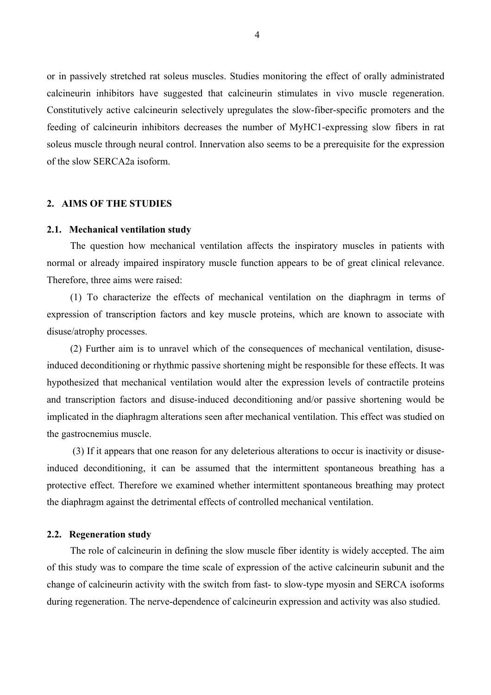or in passively stretched rat soleus muscles. Studies monitoring the effect of orally administrated calcineurin inhibitors have suggested that calcineurin stimulates in vivo muscle regeneration. Constitutively active calcineurin selectively upregulates the slow-fiber-specific promoters and the feeding of calcineurin inhibitors decreases the number of MyHC1-expressing slow fibers in rat soleus muscle through neural control. Innervation also seems to be a prerequisite for the expression of the slow SERCA2a isoform.

## **2. AIMS OF THE STUDIES**

#### **2.1. Mechanical ventilation study**

The question how mechanical ventilation affects the inspiratory muscles in patients with normal or already impaired inspiratory muscle function appears to be of great clinical relevance. Therefore, three aims were raised:

(1) To characterize the effects of mechanical ventilation on the diaphragm in terms of expression of transcription factors and key muscle proteins, which are known to associate with disuse/atrophy processes.

(2) Further aim is to unravel which of the consequences of mechanical ventilation, disuseinduced deconditioning or rhythmic passive shortening might be responsible for these effects. It was hypothesized that mechanical ventilation would alter the expression levels of contractile proteins and transcription factors and disuse-induced deconditioning and/or passive shortening would be implicated in the diaphragm alterations seen after mechanical ventilation. This effect was studied on the gastrocnemius muscle.

 (3) If it appears that one reason for any deleterious alterations to occur is inactivity or disuseinduced deconditioning, it can be assumed that the intermittent spontaneous breathing has a protective effect. Therefore we examined whether intermittent spontaneous breathing may protect the diaphragm against the detrimental effects of controlled mechanical ventilation.

#### **2.2. Regeneration study**

The role of calcineurin in defining the slow muscle fiber identity is widely accepted. The aim of this study was to compare the time scale of expression of the active calcineurin subunit and the change of calcineurin activity with the switch from fast- to slow-type myosin and SERCA isoforms during regeneration. The nerve-dependence of calcineurin expression and activity was also studied.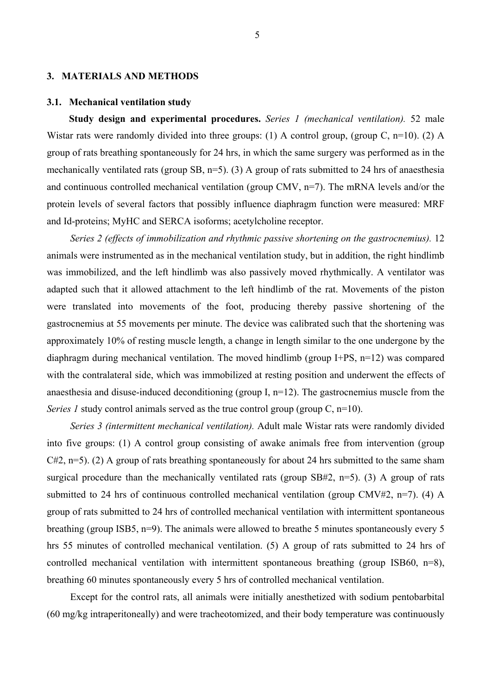#### **3. MATERIALS AND METHODS**

#### **3.1. Mechanical ventilation study**

**Study design and experimental procedures.** *Series 1 (mechanical ventilation).* 52 male Wistar rats were randomly divided into three groups: (1) A control group, (group C, n=10). (2) A group of rats breathing spontaneously for 24 hrs, in which the same surgery was performed as in the mechanically ventilated rats (group SB, n=5). (3) A group of rats submitted to 24 hrs of anaesthesia and continuous controlled mechanical ventilation (group CMV, n=7). The mRNA levels and/or the protein levels of several factors that possibly influence diaphragm function were measured: MRF and Id-proteins; MyHC and SERCA isoforms; acetylcholine receptor.

*Series 2 (effects of immobilization and rhythmic passive shortening on the gastrocnemius).* 12 animals were instrumented as in the mechanical ventilation study, but in addition, the right hindlimb was immobilized, and the left hindlimb was also passively moved rhythmically. A ventilator was adapted such that it allowed attachment to the left hindlimb of the rat. Movements of the piston were translated into movements of the foot, producing thereby passive shortening of the gastrocnemius at 55 movements per minute. The device was calibrated such that the shortening was approximately 10% of resting muscle length, a change in length similar to the one undergone by the diaphragm during mechanical ventilation. The moved hindlimb (group I+PS, n=12) was compared with the contralateral side, which was immobilized at resting position and underwent the effects of anaesthesia and disuse-induced deconditioning (group I,  $n=12$ ). The gastrocnemius muscle from the *Series 1* study control animals served as the true control group (group C, n=10).

*Series 3 (intermittent mechanical ventilation).* Adult male Wistar rats were randomly divided into five groups: (1) A control group consisting of awake animals free from intervention (group C#2, n=5). (2) A group of rats breathing spontaneously for about 24 hrs submitted to the same sham surgical procedure than the mechanically ventilated rats (group SB#2, n=5). (3) A group of rats submitted to 24 hrs of continuous controlled mechanical ventilation (group CMV#2, n=7). (4) A group of rats submitted to 24 hrs of controlled mechanical ventilation with intermittent spontaneous breathing (group ISB5, n=9). The animals were allowed to breathe 5 minutes spontaneously every 5 hrs 55 minutes of controlled mechanical ventilation. (5) A group of rats submitted to 24 hrs of controlled mechanical ventilation with intermittent spontaneous breathing (group ISB60, n=8), breathing 60 minutes spontaneously every 5 hrs of controlled mechanical ventilation.

Except for the control rats, all animals were initially anesthetized with sodium pentobarbital (60 mg/kg intraperitoneally) and were tracheotomized, and their body temperature was continuously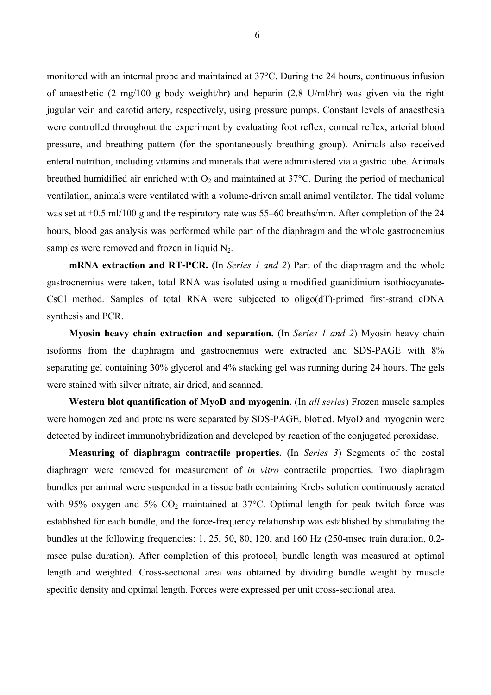monitored with an internal probe and maintained at 37°C. During the 24 hours, continuous infusion of anaesthetic (2 mg/100 g body weight/hr) and heparin (2.8 U/ml/hr) was given via the right jugular vein and carotid artery, respectively, using pressure pumps. Constant levels of anaesthesia were controlled throughout the experiment by evaluating foot reflex, corneal reflex, arterial blood pressure, and breathing pattern (for the spontaneously breathing group). Animals also received enteral nutrition, including vitamins and minerals that were administered via a gastric tube. Animals breathed humidified air enriched with  $O_2$  and maintained at 37 $^{\circ}$ C. During the period of mechanical ventilation, animals were ventilated with a volume-driven small animal ventilator. The tidal volume was set at  $\pm 0.5$  ml/100 g and the respiratory rate was 55–60 breaths/min. After completion of the 24 hours, blood gas analysis was performed while part of the diaphragm and the whole gastrocnemius samples were removed and frozen in liquid  $N_2$ .

**mRNA extraction and RT-PCR.** (In *Series 1 and 2*) Part of the diaphragm and the whole gastrocnemius were taken, total RNA was isolated using a modified guanidinium isothiocyanate-CsCl method. Samples of total RNA were subjected to oligo(dT)-primed first-strand cDNA synthesis and PCR.

**Myosin heavy chain extraction and separation.** (In *Series 1 and 2*) Myosin heavy chain isoforms from the diaphragm and gastrocnemius were extracted and SDS-PAGE with 8% separating gel containing 30% glycerol and 4% stacking gel was running during 24 hours. The gels were stained with silver nitrate, air dried, and scanned.

**Western blot quantification of MyoD and myogenin.** (In *all series*) Frozen muscle samples were homogenized and proteins were separated by SDS-PAGE, blotted. MyoD and myogenin were detected by indirect immunohybridization and developed by reaction of the conjugated peroxidase.

**Measuring of diaphragm contractile properties.** (In *Series 3*) Segments of the costal diaphragm were removed for measurement of *in vitro* contractile properties. Two diaphragm bundles per animal were suspended in a tissue bath containing Krebs solution continuously aerated with 95% oxygen and 5%  $CO<sub>2</sub>$  maintained at 37°C. Optimal length for peak twitch force was established for each bundle, and the force-frequency relationship was established by stimulating the bundles at the following frequencies: 1, 25, 50, 80, 120, and 160 Hz (250-msec train duration, 0.2 msec pulse duration). After completion of this protocol, bundle length was measured at optimal length and weighted. Cross-sectional area was obtained by dividing bundle weight by muscle specific density and optimal length. Forces were expressed per unit cross-sectional area.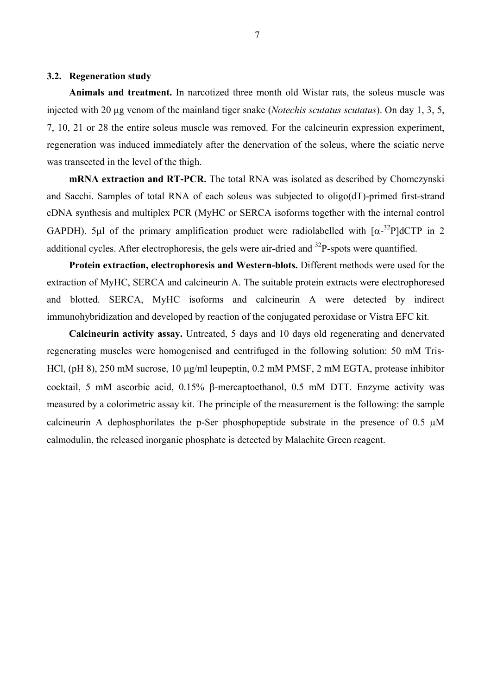## **3.2. Regeneration study**

**Animals and treatment.** In narcotized three month old Wistar rats, the soleus muscle was injected with 20 µg venom of the mainland tiger snake (*Notechis scutatus scutatus*). On day 1, 3, 5, 7, 10, 21 or 28 the entire soleus muscle was removed. For the calcineurin expression experiment, regeneration was induced immediately after the denervation of the soleus, where the sciatic nerve was transected in the level of the thigh.

**mRNA extraction and RT-PCR.** The total RNA was isolated as described by Chomczynski and Sacchi. Samples of total RNA of each soleus was subjected to oligo(dT)-primed first-strand cDNA synthesis and multiplex PCR (MyHC or SERCA isoforms together with the internal control GAPDH). 5µl of the primary amplification product were radiolabelled with  $\left[\alpha^{-32}P\right]$ dCTP in 2 additional cycles. After electrophoresis, the gels were air-dried and  $^{32}P$ -spots were quantified.

**Protein extraction, electrophoresis and Western-blots.** Different methods were used for the extraction of MyHC, SERCA and calcineurin A. The suitable protein extracts were electrophoresed and blotted. SERCA, MyHC isoforms and calcineurin A were detected by indirect immunohybridization and developed by reaction of the conjugated peroxidase or Vistra EFC kit.

**Calcineurin activity assay.** Untreated, 5 days and 10 days old regenerating and denervated regenerating muscles were homogenised and centrifuged in the following solution: 50 mM Tris-HCl, (pH 8), 250 mM sucrose, 10 µg/ml leupeptin, 0.2 mM PMSF, 2 mM EGTA, protease inhibitor cocktail, 5 mM ascorbic acid, 0.15% β-mercaptoethanol, 0.5 mM DTT. Enzyme activity was measured by a colorimetric assay kit. The principle of the measurement is the following: the sample calcineurin A dephosphorilates the p-Ser phosphopeptide substrate in the presence of  $0.5 \mu M$ calmodulin, the released inorganic phosphate is detected by Malachite Green reagent.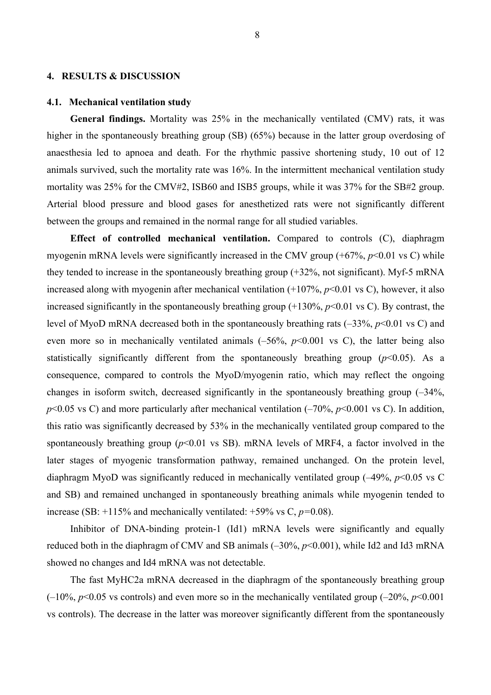#### **4. RESULTS & DISCUSSION**

#### **4.1. Mechanical ventilation study**

**General findings.** Mortality was 25% in the mechanically ventilated (CMV) rats, it was higher in the spontaneously breathing group (SB) (65%) because in the latter group overdosing of anaesthesia led to apnoea and death. For the rhythmic passive shortening study, 10 out of 12 animals survived, such the mortality rate was 16%. In the intermittent mechanical ventilation study mortality was 25% for the CMV#2, ISB60 and ISB5 groups, while it was 37% for the SB#2 group. Arterial blood pressure and blood gases for anesthetized rats were not significantly different between the groups and remained in the normal range for all studied variables.

**Effect of controlled mechanical ventilation.** Compared to controls (C), diaphragm myogenin mRNA levels were significantly increased in the CMV group  $(+67\%, p<0.01 \text{ vs C})$  while they tended to increase in the spontaneously breathing group (+32%, not significant). Myf-5 mRNA increased along with myogenin after mechanical ventilation  $(+107\%, p<0.01$  vs C), however, it also increased significantly in the spontaneously breathing group  $(+130\%, p<0.01 \text{ vs } C)$ . By contrast, the level of MyoD mRNA decreased both in the spontaneously breathing rats (–33%, *p*<0.01 vs C) and even more so in mechanically ventilated animals  $(-56\%, p<0.001$  vs C), the latter being also statistically significantly different from the spontaneously breathing group  $(p<0.05)$ . As a consequence, compared to controls the MyoD/myogenin ratio, which may reflect the ongoing changes in isoform switch, decreased significantly in the spontaneously breathing group (–34%, *p*<0.05 vs C) and more particularly after mechanical ventilation (–70%, *p*<0.001 vs C). In addition, this ratio was significantly decreased by 53% in the mechanically ventilated group compared to the spontaneously breathing group  $(p<0.01$  vs SB). mRNA levels of MRF4, a factor involved in the later stages of myogenic transformation pathway, remained unchanged. On the protein level, diaphragm MyoD was significantly reduced in mechanically ventilated group (–49%, *p*<0.05 vs C and SB) and remained unchanged in spontaneously breathing animals while myogenin tended to increase (SB: +115% and mechanically ventilated: +59% vs C, *p=*0.08).

Inhibitor of DNA-binding protein-1 (Id1) mRNA levels were significantly and equally reduced both in the diaphragm of CMV and SB animals (–30%, *p*<0.001), while Id2 and Id3 mRNA showed no changes and Id4 mRNA was not detectable.

The fast MyHC2a mRNA decreased in the diaphragm of the spontaneously breathing group  $(-10\%, p<0.05 \text{ vs controls})$  and even more so in the mechanically ventilated group  $(-20\%, p<0.001)$ vs controls). The decrease in the latter was moreover significantly different from the spontaneously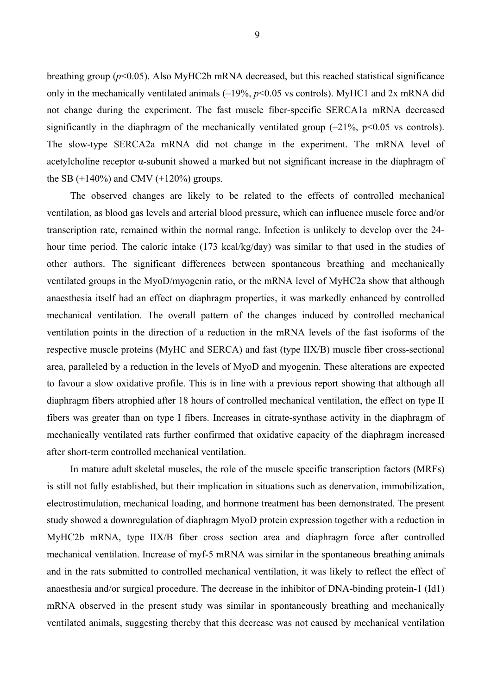breathing group (*p*<0.05). Also MyHC2b mRNA decreased, but this reached statistical significance only in the mechanically ventilated animals (–19%, *p*<0.05 vs controls). MyHC1 and 2x mRNA did not change during the experiment. The fast muscle fiber-specific SERCA1a mRNA decreased significantly in the diaphragm of the mechanically ventilated group  $(-21\% \, \text{p} < 0.05 \, \text{vs} \, \text{controls}).$ The slow-type SERCA2a mRNA did not change in the experiment. The mRNA level of acetylcholine receptor α-subunit showed a marked but not significant increase in the diaphragm of the SB  $(+140\%)$  and CMV  $(+120\%)$  groups.

The observed changes are likely to be related to the effects of controlled mechanical ventilation, as blood gas levels and arterial blood pressure, which can influence muscle force and/or transcription rate, remained within the normal range. Infection is unlikely to develop over the 24 hour time period. The caloric intake (173 kcal/kg/day) was similar to that used in the studies of other authors. The significant differences between spontaneous breathing and mechanically ventilated groups in the MyoD/myogenin ratio, or the mRNA level of MyHC2a show that although anaesthesia itself had an effect on diaphragm properties, it was markedly enhanced by controlled mechanical ventilation. The overall pattern of the changes induced by controlled mechanical ventilation points in the direction of a reduction in the mRNA levels of the fast isoforms of the respective muscle proteins (MyHC and SERCA) and fast (type IIX/B) muscle fiber cross-sectional area, paralleled by a reduction in the levels of MyoD and myogenin. These alterations are expected to favour a slow oxidative profile. This is in line with a previous report showing that although all diaphragm fibers atrophied after 18 hours of controlled mechanical ventilation, the effect on type II fibers was greater than on type I fibers. Increases in citrate-synthase activity in the diaphragm of mechanically ventilated rats further confirmed that oxidative capacity of the diaphragm increased after short-term controlled mechanical ventilation.

In mature adult skeletal muscles, the role of the muscle specific transcription factors (MRFs) is still not fully established, but their implication in situations such as denervation, immobilization, electrostimulation, mechanical loading, and hormone treatment has been demonstrated. The present study showed a downregulation of diaphragm MyoD protein expression together with a reduction in MyHC2b mRNA, type IIX/B fiber cross section area and diaphragm force after controlled mechanical ventilation. Increase of myf-5 mRNA was similar in the spontaneous breathing animals and in the rats submitted to controlled mechanical ventilation, it was likely to reflect the effect of anaesthesia and/or surgical procedure. The decrease in the inhibitor of DNA-binding protein-1 (Id1) mRNA observed in the present study was similar in spontaneously breathing and mechanically ventilated animals, suggesting thereby that this decrease was not caused by mechanical ventilation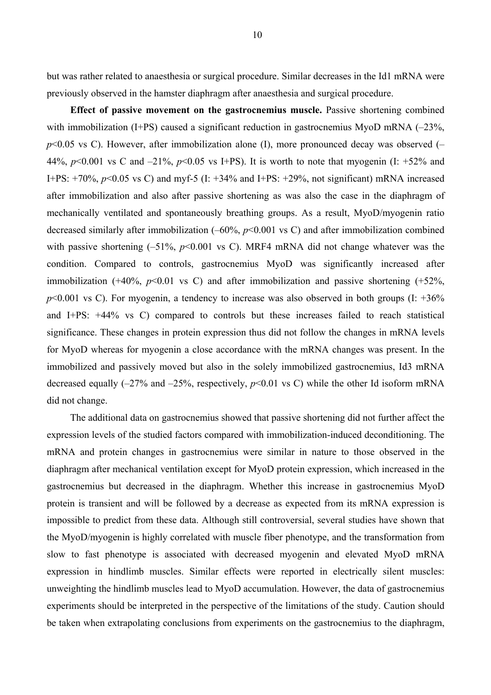but was rather related to anaesthesia or surgical procedure. Similar decreases in the Id1 mRNA were previously observed in the hamster diaphragm after anaesthesia and surgical procedure.

**Effect of passive movement on the gastrocnemius muscle.** Passive shortening combined with immobilization (I+PS) caused a significant reduction in gastrocnemius MyoD mRNA  $(-23\%$ ,  $p$ <0.05 vs C). However, after immobilization alone (I), more pronounced decay was observed  $($ 44%,  $p<0.001$  vs C and  $-21\%$ ,  $p<0.05$  vs I+PS). It is worth to note that myogenin (I: +52% and I+PS: +70%, *p*<0.05 vs C) and myf-5 (I: +34% and I+PS: +29%, not significant) mRNA increased after immobilization and also after passive shortening as was also the case in the diaphragm of mechanically ventilated and spontaneously breathing groups. As a result, MyoD/myogenin ratio decreased similarly after immobilization (–60%, *p*<0.001 vs C) and after immobilization combined with passive shortening  $(-51\%, p<0.001$  vs C). MRF4 mRNA did not change whatever was the condition. Compared to controls, gastrocnemius MyoD was significantly increased after immobilization  $(+40\%, p<0.01$  vs C) and after immobilization and passive shortening  $(+52\%,$  $p<0.001$  vs C). For myogenin, a tendency to increase was also observed in both groups (I:  $+36\%$ ) and I+PS: +44% vs C) compared to controls but these increases failed to reach statistical significance. These changes in protein expression thus did not follow the changes in mRNA levels for MyoD whereas for myogenin a close accordance with the mRNA changes was present. In the immobilized and passively moved but also in the solely immobilized gastrocnemius, Id3 mRNA decreased equally  $(-27\%$  and  $-25\%$ , respectively,  $p<0.01$  vs C) while the other Id isoform mRNA did not change.

The additional data on gastrocnemius showed that passive shortening did not further affect the expression levels of the studied factors compared with immobilization-induced deconditioning. The mRNA and protein changes in gastrocnemius were similar in nature to those observed in the diaphragm after mechanical ventilation except for MyoD protein expression, which increased in the gastrocnemius but decreased in the diaphragm. Whether this increase in gastrocnemius MyoD protein is transient and will be followed by a decrease as expected from its mRNA expression is impossible to predict from these data. Although still controversial, several studies have shown that the MyoD/myogenin is highly correlated with muscle fiber phenotype, and the transformation from slow to fast phenotype is associated with decreased myogenin and elevated MyoD mRNA expression in hindlimb muscles. Similar effects were reported in electrically silent muscles: unweighting the hindlimb muscles lead to MyoD accumulation. However, the data of gastrocnemius experiments should be interpreted in the perspective of the limitations of the study. Caution should be taken when extrapolating conclusions from experiments on the gastrocnemius to the diaphragm,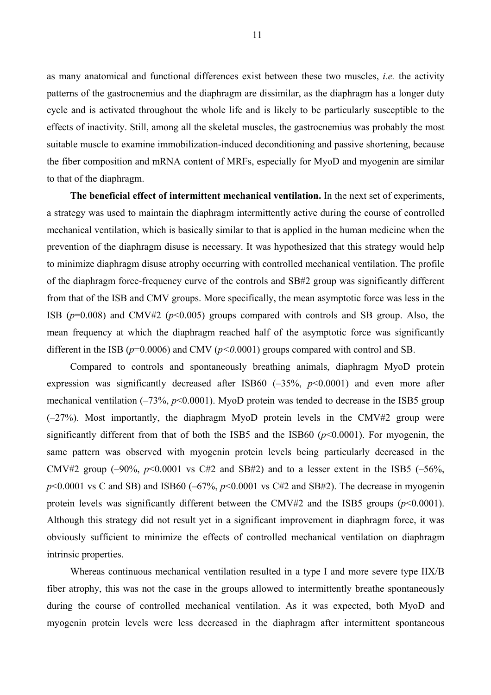as many anatomical and functional differences exist between these two muscles, *i.e.* the activity patterns of the gastrocnemius and the diaphragm are dissimilar, as the diaphragm has a longer duty cycle and is activated throughout the whole life and is likely to be particularly susceptible to the effects of inactivity. Still, among all the skeletal muscles, the gastrocnemius was probably the most suitable muscle to examine immobilization-induced deconditioning and passive shortening, because the fiber composition and mRNA content of MRFs, especially for MyoD and myogenin are similar to that of the diaphragm.

**The beneficial effect of intermittent mechanical ventilation.** In the next set of experiments, a strategy was used to maintain the diaphragm intermittently active during the course of controlled mechanical ventilation, which is basically similar to that is applied in the human medicine when the prevention of the diaphragm disuse is necessary. It was hypothesized that this strategy would help to minimize diaphragm disuse atrophy occurring with controlled mechanical ventilation. The profile of the diaphragm force-frequency curve of the controls and SB#2 group was significantly different from that of the ISB and CMV groups. More specifically, the mean asymptotic force was less in the ISB ( $p=0.008$ ) and CMV#2 ( $p<0.005$ ) groups compared with controls and SB group. Also, the mean frequency at which the diaphragm reached half of the asymptotic force was significantly different in the ISB ( $p=0.0006$ ) and CMV ( $p<0.0001$ ) groups compared with control and SB.

Compared to controls and spontaneously breathing animals, diaphragm MyoD protein expression was significantly decreased after ISB60  $(-35\%, p<0.0001)$  and even more after mechanical ventilation  $(-73\%, p<0.0001)$ . MyoD protein was tended to decrease in the ISB5 group (–27%). Most importantly, the diaphragm MyoD protein levels in the CMV#2 group were significantly different from that of both the ISB5 and the ISB60 (*p*<0.0001). For myogenin, the same pattern was observed with myogenin protein levels being particularly decreased in the CMV#2 group  $(-90\% \, p<0.0001$  vs C#2 and SB#2) and to a lesser extent in the ISB5  $(-56\% \, p<0.0001$  $p$ <0.0001 vs C and SB) and ISB60 (–67%,  $p$ <0.0001 vs C#2 and SB#2). The decrease in myogenin protein levels was significantly different between the CMV#2 and the ISB5 groups  $(p<0.0001)$ . Although this strategy did not result yet in a significant improvement in diaphragm force, it was obviously sufficient to minimize the effects of controlled mechanical ventilation on diaphragm intrinsic properties.

Whereas continuous mechanical ventilation resulted in a type I and more severe type IIX/B fiber atrophy, this was not the case in the groups allowed to intermittently breathe spontaneously during the course of controlled mechanical ventilation. As it was expected, both MyoD and myogenin protein levels were less decreased in the diaphragm after intermittent spontaneous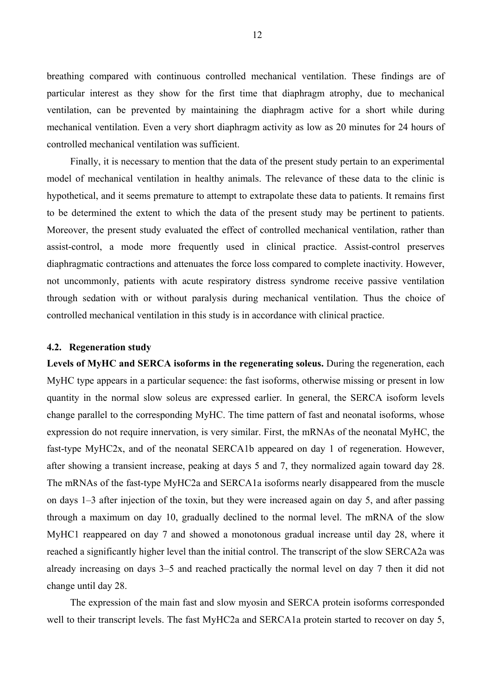breathing compared with continuous controlled mechanical ventilation. These findings are of particular interest as they show for the first time that diaphragm atrophy, due to mechanical ventilation, can be prevented by maintaining the diaphragm active for a short while during mechanical ventilation. Even a very short diaphragm activity as low as 20 minutes for 24 hours of controlled mechanical ventilation was sufficient.

Finally, it is necessary to mention that the data of the present study pertain to an experimental model of mechanical ventilation in healthy animals. The relevance of these data to the clinic is hypothetical, and it seems premature to attempt to extrapolate these data to patients. It remains first to be determined the extent to which the data of the present study may be pertinent to patients. Moreover, the present study evaluated the effect of controlled mechanical ventilation, rather than assist-control, a mode more frequently used in clinical practice. Assist-control preserves diaphragmatic contractions and attenuates the force loss compared to complete inactivity. However, not uncommonly, patients with acute respiratory distress syndrome receive passive ventilation through sedation with or without paralysis during mechanical ventilation. Thus the choice of controlled mechanical ventilation in this study is in accordance with clinical practice.

## **4.2. Regeneration study**

**Levels of MyHC and SERCA isoforms in the regenerating soleus.** During the regeneration, each MyHC type appears in a particular sequence: the fast isoforms, otherwise missing or present in low quantity in the normal slow soleus are expressed earlier. In general, the SERCA isoform levels change parallel to the corresponding MyHC. The time pattern of fast and neonatal isoforms, whose expression do not require innervation, is very similar. First, the mRNAs of the neonatal MyHC, the fast-type MyHC2x, and of the neonatal SERCA1b appeared on day 1 of regeneration. However, after showing a transient increase, peaking at days 5 and 7, they normalized again toward day 28. The mRNAs of the fast-type MyHC2a and SERCA1a isoforms nearly disappeared from the muscle on days 1–3 after injection of the toxin, but they were increased again on day 5, and after passing through a maximum on day 10, gradually declined to the normal level. The mRNA of the slow MyHC1 reappeared on day 7 and showed a monotonous gradual increase until day 28, where it reached a significantly higher level than the initial control. The transcript of the slow SERCA2a was already increasing on days 3–5 and reached practically the normal level on day 7 then it did not change until day 28.

The expression of the main fast and slow myosin and SERCA protein isoforms corresponded well to their transcript levels. The fast MyHC2a and SERCA1a protein started to recover on day 5,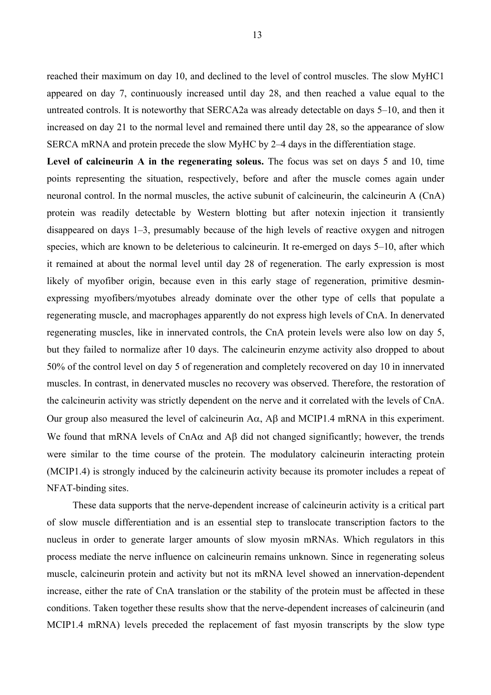reached their maximum on day 10, and declined to the level of control muscles. The slow MyHC1 appeared on day 7, continuously increased until day 28, and then reached a value equal to the untreated controls. It is noteworthy that SERCA2a was already detectable on days 5–10, and then it increased on day 21 to the normal level and remained there until day 28, so the appearance of slow SERCA mRNA and protein precede the slow MyHC by 2–4 days in the differentiation stage.

Level of calcineurin A in the regenerating soleus. The focus was set on days 5 and 10, time points representing the situation, respectively, before and after the muscle comes again under neuronal control. In the normal muscles, the active subunit of calcineurin, the calcineurin A (CnA) protein was readily detectable by Western blotting but after notexin injection it transiently disappeared on days 1–3, presumably because of the high levels of reactive oxygen and nitrogen species, which are known to be deleterious to calcineurin. It re-emerged on days 5–10, after which it remained at about the normal level until day 28 of regeneration. The early expression is most likely of myofiber origin, because even in this early stage of regeneration, primitive desminexpressing myofibers/myotubes already dominate over the other type of cells that populate a regenerating muscle, and macrophages apparently do not express high levels of CnA. In denervated regenerating muscles, like in innervated controls, the CnA protein levels were also low on day 5, but they failed to normalize after 10 days. The calcineurin enzyme activity also dropped to about 50% of the control level on day 5 of regeneration and completely recovered on day 10 in innervated muscles. In contrast, in denervated muscles no recovery was observed. Therefore, the restoration of the calcineurin activity was strictly dependent on the nerve and it correlated with the levels of CnA. Our group also measured the level of calcineurin  $A\alpha$ ,  $A\beta$  and MCIP1.4 mRNA in this experiment. We found that mRNA levels of CnA $\alpha$  and A $\beta$  did not changed significantly; however, the trends were similar to the time course of the protein. The modulatory calcineurin interacting protein (MCIP1.4) is strongly induced by the calcineurin activity because its promoter includes a repeat of NFAT-binding sites.

 These data supports that the nerve-dependent increase of calcineurin activity is a critical part of slow muscle differentiation and is an essential step to translocate transcription factors to the nucleus in order to generate larger amounts of slow myosin mRNAs. Which regulators in this process mediate the nerve influence on calcineurin remains unknown. Since in regenerating soleus muscle, calcineurin protein and activity but not its mRNA level showed an innervation-dependent increase, either the rate of CnA translation or the stability of the protein must be affected in these conditions. Taken together these results show that the nerve-dependent increases of calcineurin (and MCIP1.4 mRNA) levels preceded the replacement of fast myosin transcripts by the slow type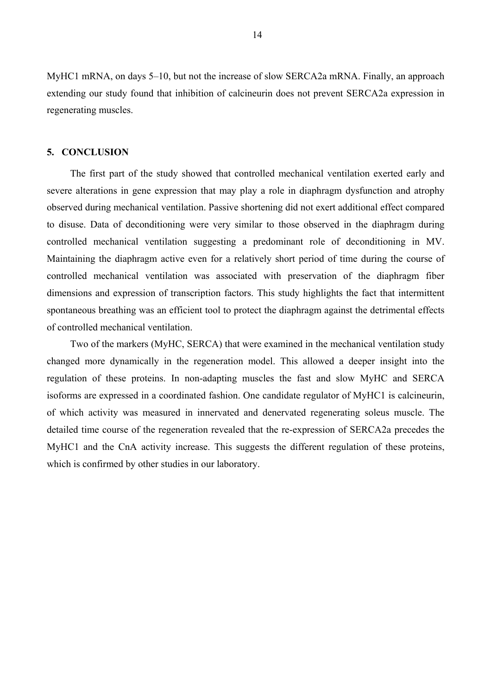MyHC1 mRNA, on days 5–10, but not the increase of slow SERCA2a mRNA. Finally, an approach extending our study found that inhibition of calcineurin does not prevent SERCA2a expression in regenerating muscles.

## **5. CONCLUSION**

The first part of the study showed that controlled mechanical ventilation exerted early and severe alterations in gene expression that may play a role in diaphragm dysfunction and atrophy observed during mechanical ventilation. Passive shortening did not exert additional effect compared to disuse. Data of deconditioning were very similar to those observed in the diaphragm during controlled mechanical ventilation suggesting a predominant role of deconditioning in MV. Maintaining the diaphragm active even for a relatively short period of time during the course of controlled mechanical ventilation was associated with preservation of the diaphragm fiber dimensions and expression of transcription factors. This study highlights the fact that intermittent spontaneous breathing was an efficient tool to protect the diaphragm against the detrimental effects of controlled mechanical ventilation.

Two of the markers (MyHC, SERCA) that were examined in the mechanical ventilation study changed more dynamically in the regeneration model. This allowed a deeper insight into the regulation of these proteins. In non-adapting muscles the fast and slow MyHC and SERCA isoforms are expressed in a coordinated fashion. One candidate regulator of MyHC1 is calcineurin, of which activity was measured in innervated and denervated regenerating soleus muscle. The detailed time course of the regeneration revealed that the re-expression of SERCA2a precedes the MyHC1 and the CnA activity increase. This suggests the different regulation of these proteins, which is confirmed by other studies in our laboratory.